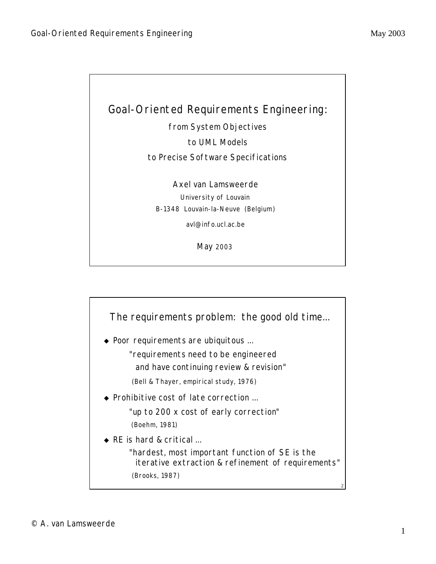

from System Objectives

to UML Models

to Precise Software Specifications

Axel van Lamsweerde University of Louvain B-1348 Louvain-la-Neuve (Belgium)

avl@info.ucl.ac.be

May 2003



- $\bullet$  Poor requirements are ubiquitous ...
	- "requirements need to be *engineered*
	- and have continuing review & revision"
	- (Bell & Thayer, empirical study, 1976)
- $\bullet$  Prohibitive cost of late correction ...

"up to 200 x cost of early correction" (Boehm, 1981)

 $\triangle$  RE is hard & critical ...

"hardest, most important function of SE is the iterative *extraction* & *refinement* of requirements" (Brooks, 1987)

2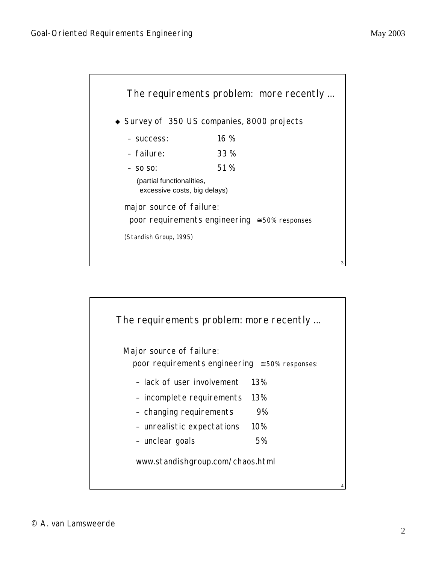

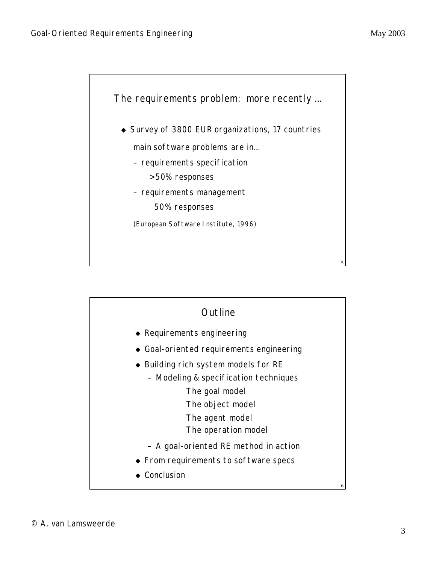

| Outline                                  |   |
|------------------------------------------|---|
| $\triangle$ Requirements engineering     |   |
| ◆ Goal-oriented requirements engineering |   |
| ◆ Building rich system models for RE     |   |
| - Modeling & specification techniques    |   |
| The goal model                           |   |
| The object model                         |   |
| The agent model                          |   |
| The operation model                      |   |
| - A goal-oriented RE method in action    |   |
| ◆ From requirements to software specs    |   |
| ▸ Conclusion                             |   |
|                                          | 6 |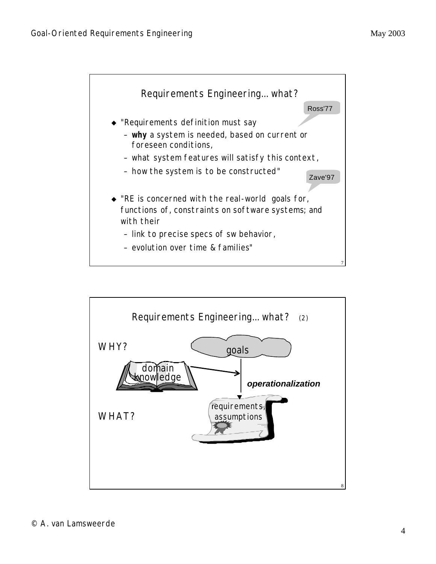

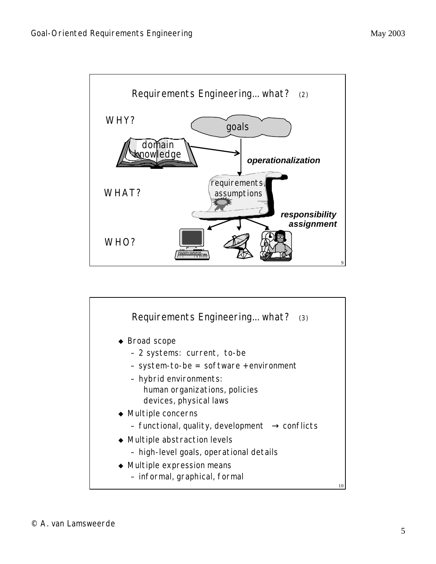

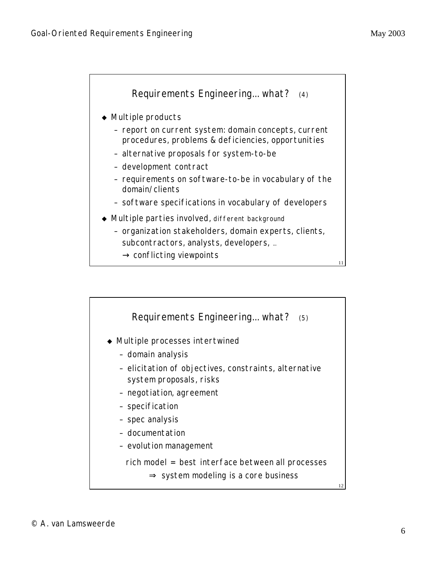

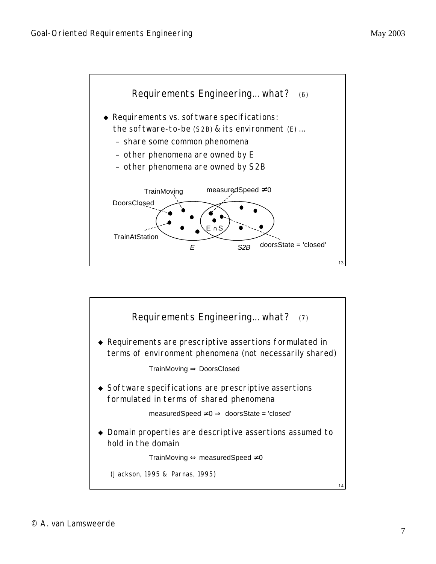

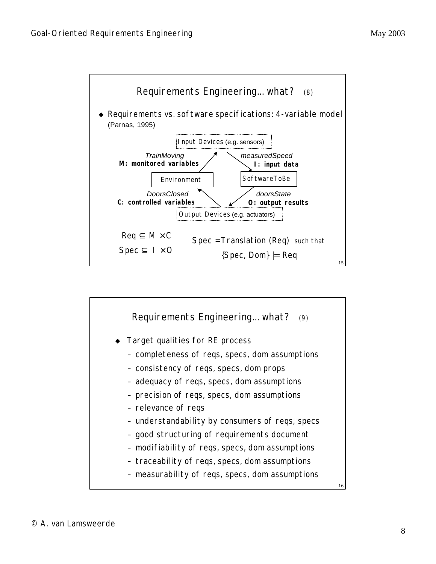

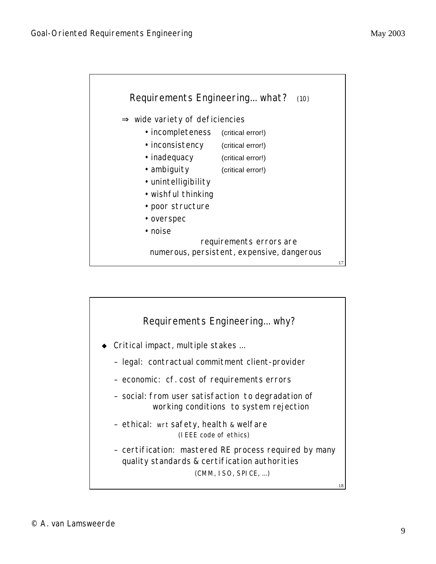![](_page_8_Figure_2.jpeg)

![](_page_8_Figure_3.jpeg)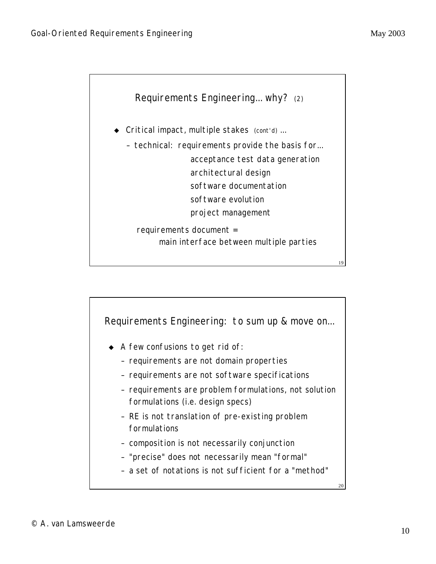![](_page_9_Figure_2.jpeg)

![](_page_9_Figure_3.jpeg)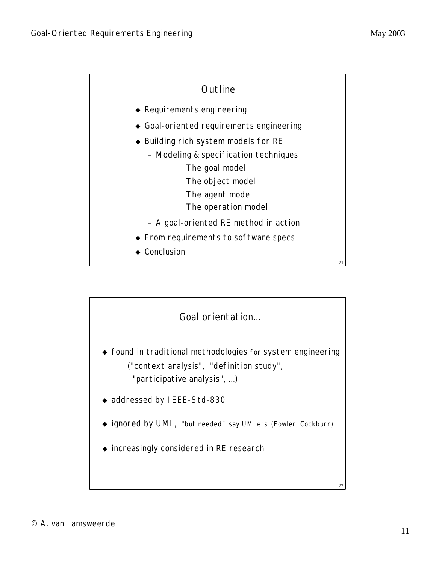![](_page_10_Figure_2.jpeg)

![](_page_10_Figure_3.jpeg)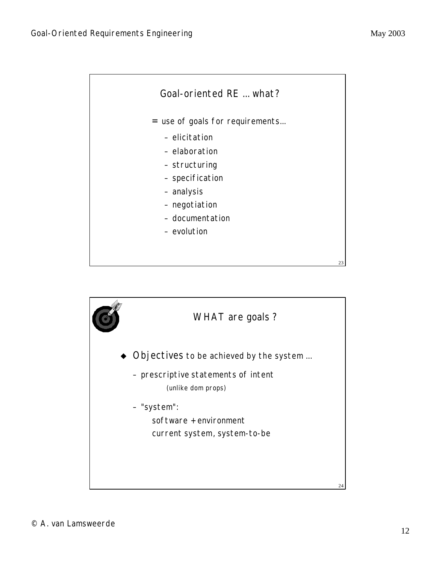![](_page_11_Figure_2.jpeg)

![](_page_11_Figure_3.jpeg)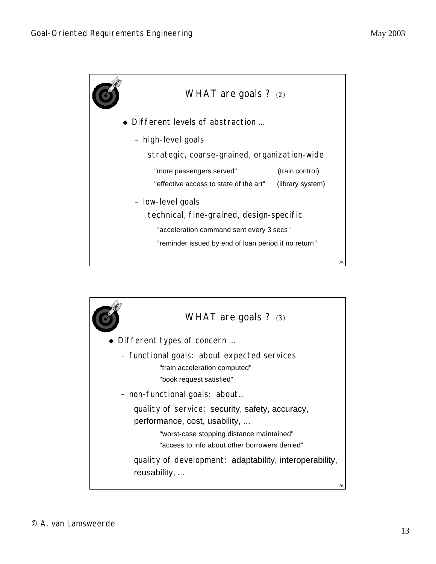![](_page_12_Figure_2.jpeg)

![](_page_12_Picture_3.jpeg)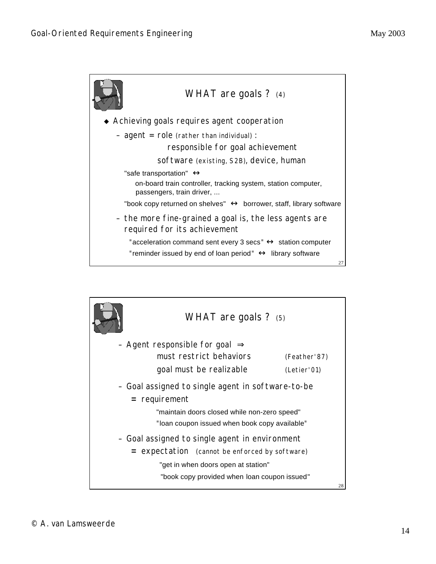![](_page_13_Figure_2.jpeg)

![](_page_13_Picture_3.jpeg)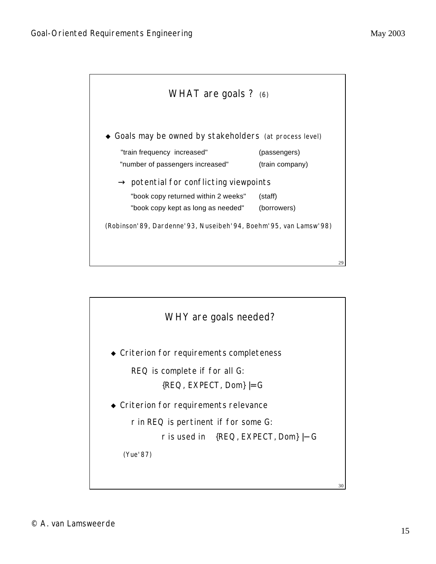![](_page_14_Figure_2.jpeg)

![](_page_14_Figure_3.jpeg)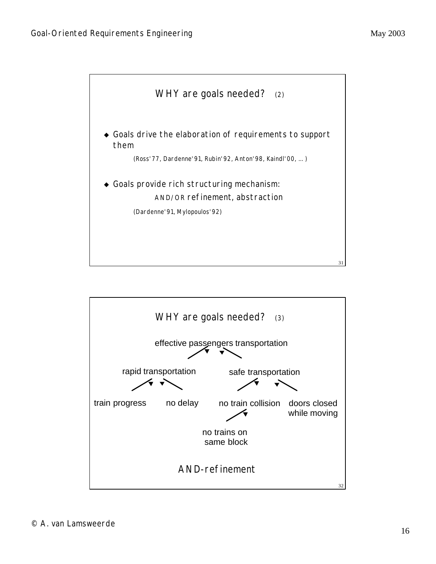![](_page_15_Figure_2.jpeg)

![](_page_15_Figure_3.jpeg)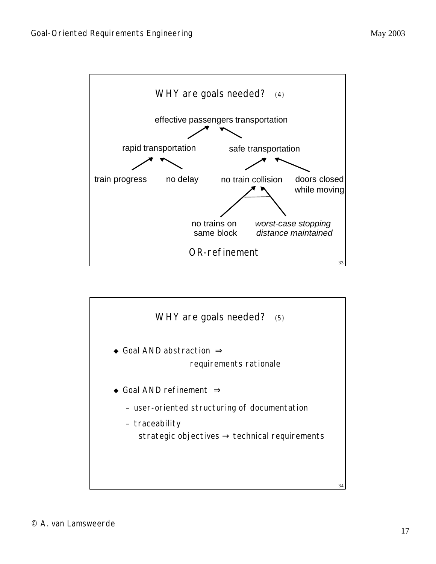![](_page_16_Figure_2.jpeg)

![](_page_16_Figure_3.jpeg)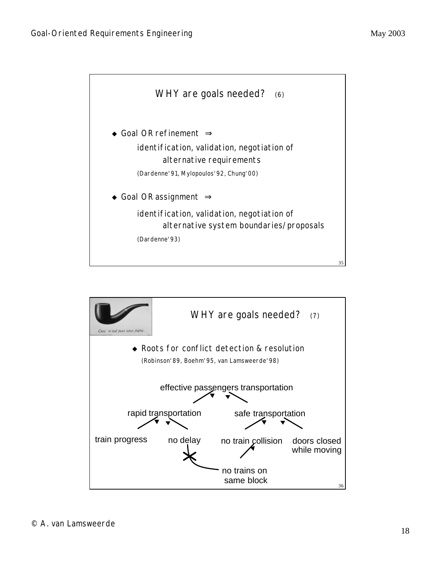![](_page_17_Figure_2.jpeg)

![](_page_17_Figure_3.jpeg)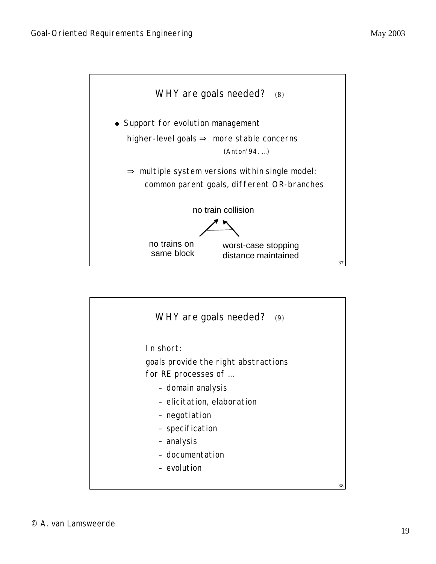![](_page_18_Figure_2.jpeg)

![](_page_18_Figure_3.jpeg)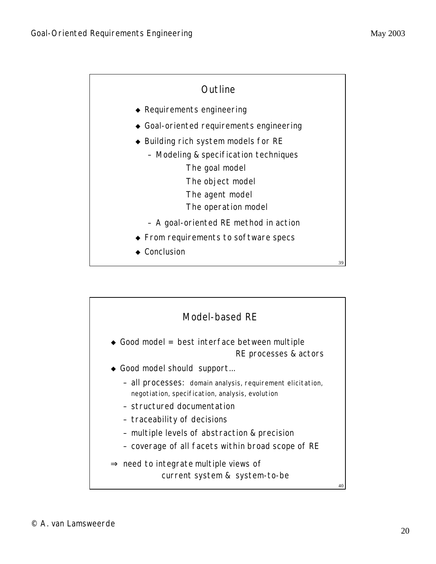![](_page_19_Figure_2.jpeg)

![](_page_19_Figure_3.jpeg)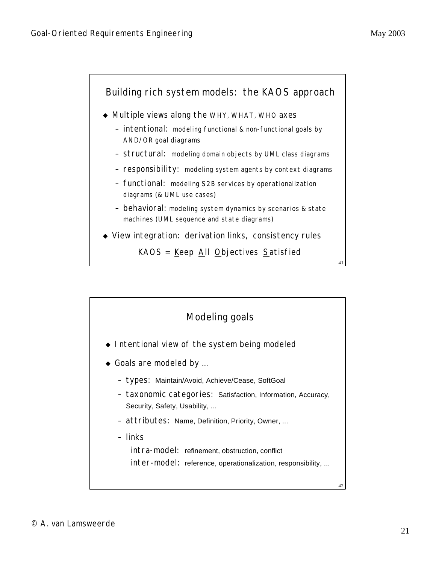![](_page_20_Figure_2.jpeg)

![](_page_20_Figure_3.jpeg)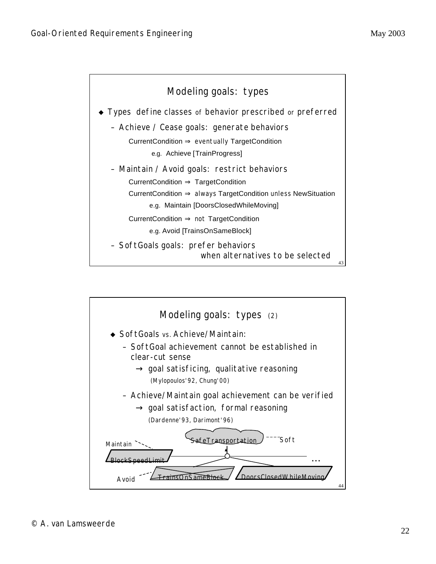![](_page_21_Figure_2.jpeg)

![](_page_21_Figure_3.jpeg)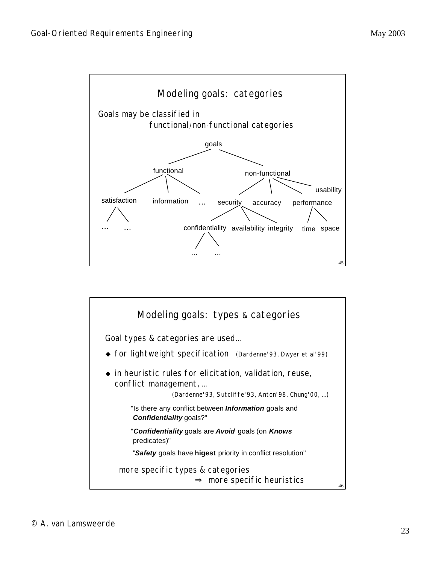![](_page_22_Figure_2.jpeg)

![](_page_22_Figure_3.jpeg)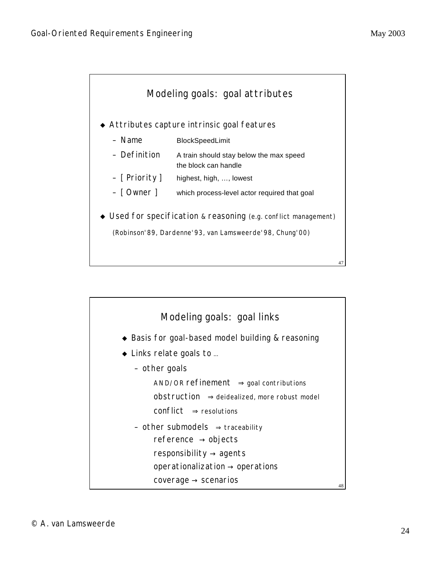![](_page_23_Figure_2.jpeg)

![](_page_23_Figure_3.jpeg)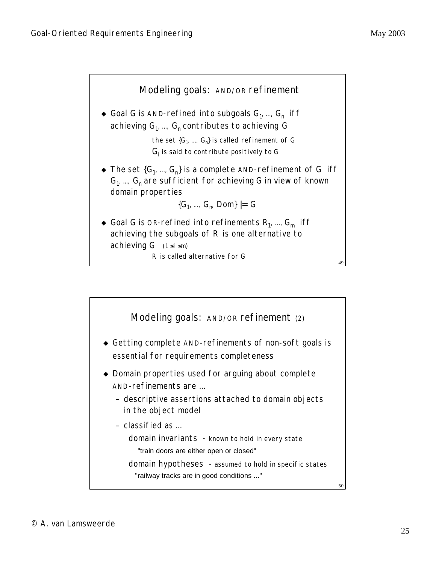![](_page_24_Figure_2.jpeg)

![](_page_24_Figure_3.jpeg)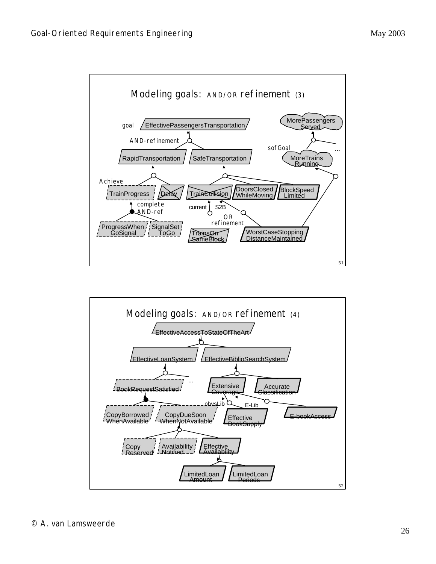![](_page_25_Figure_2.jpeg)

![](_page_25_Figure_3.jpeg)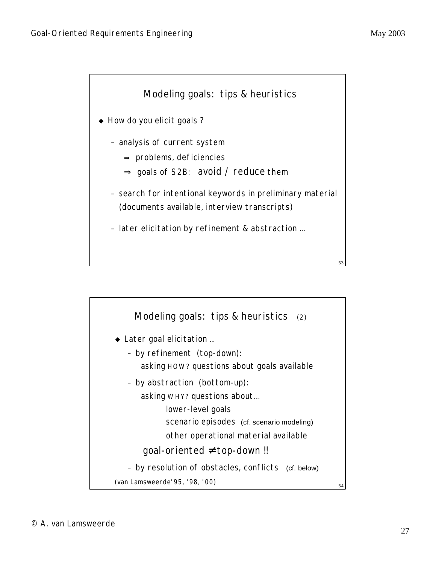![](_page_26_Figure_2.jpeg)

![](_page_26_Figure_3.jpeg)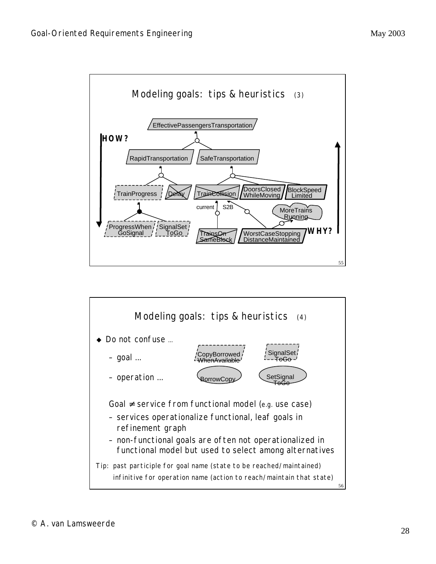![](_page_27_Figure_2.jpeg)

![](_page_27_Figure_3.jpeg)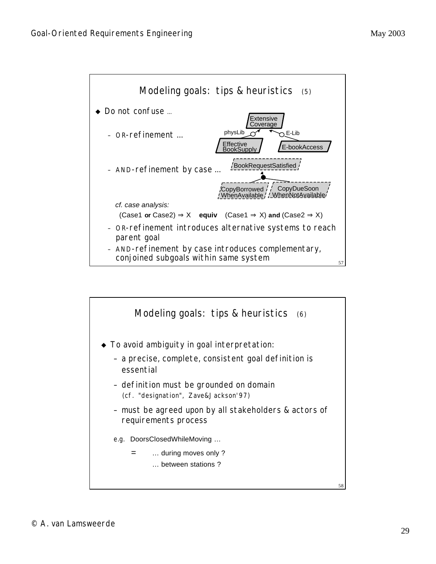![](_page_28_Figure_2.jpeg)

![](_page_28_Figure_3.jpeg)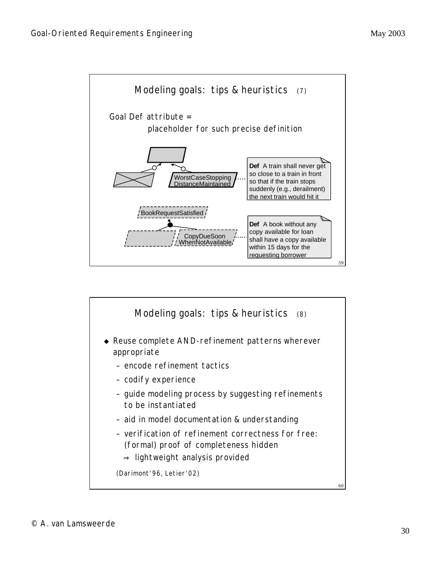![](_page_29_Figure_2.jpeg)

![](_page_29_Figure_3.jpeg)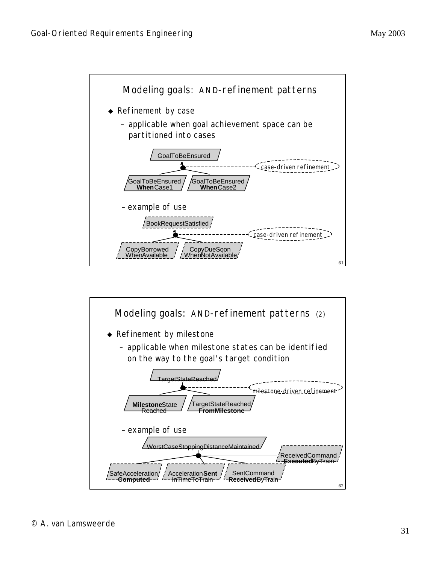![](_page_30_Figure_2.jpeg)

![](_page_30_Figure_3.jpeg)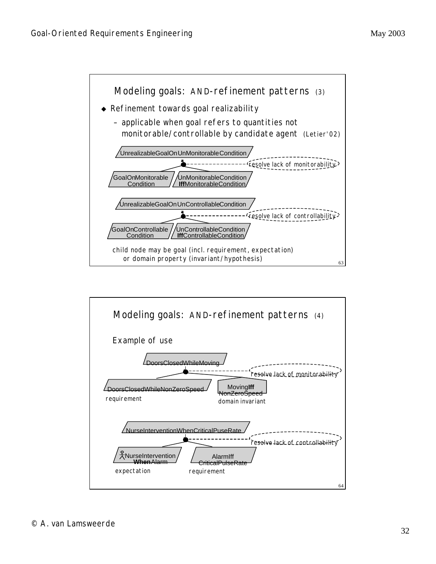![](_page_31_Figure_2.jpeg)

![](_page_31_Figure_3.jpeg)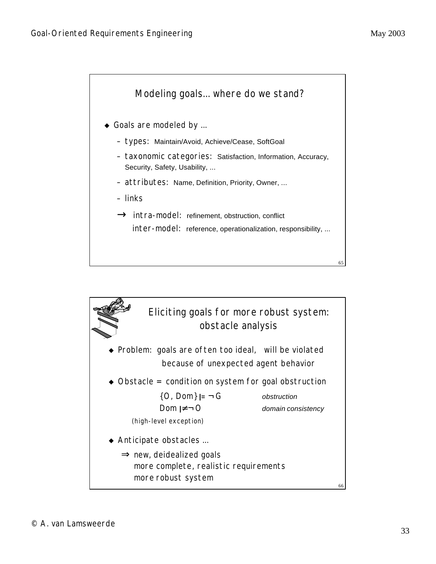![](_page_32_Figure_2.jpeg)

![](_page_32_Figure_3.jpeg)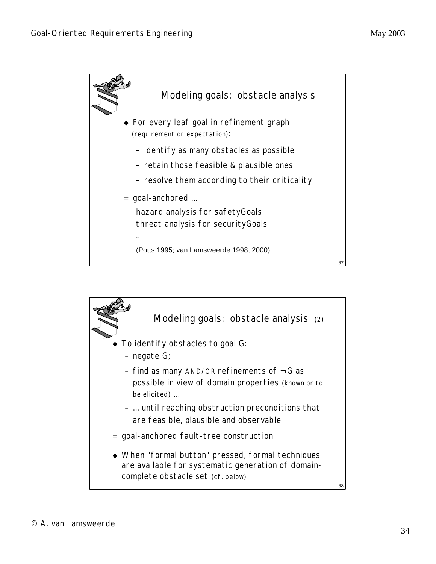![](_page_33_Figure_2.jpeg)

![](_page_33_Figure_3.jpeg)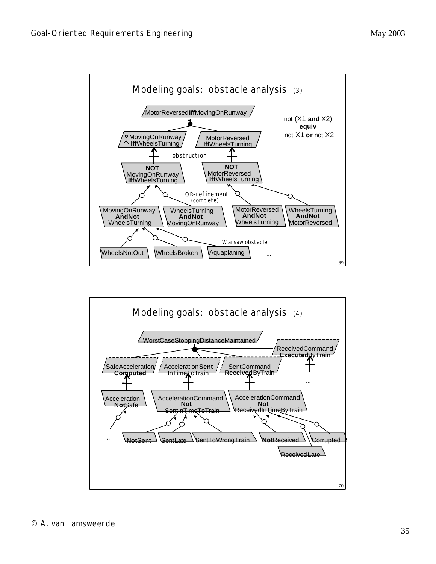![](_page_34_Figure_2.jpeg)

![](_page_34_Figure_3.jpeg)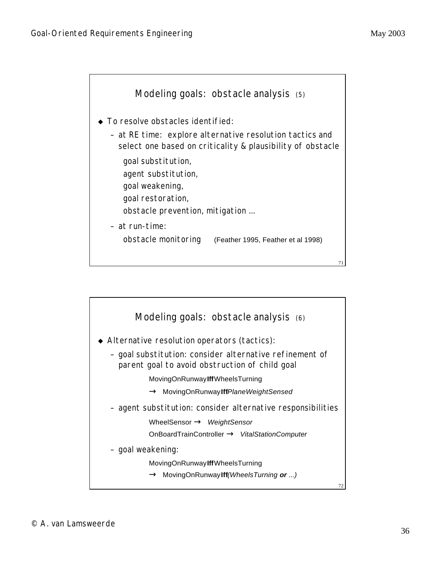![](_page_35_Figure_2.jpeg)

![](_page_35_Figure_3.jpeg)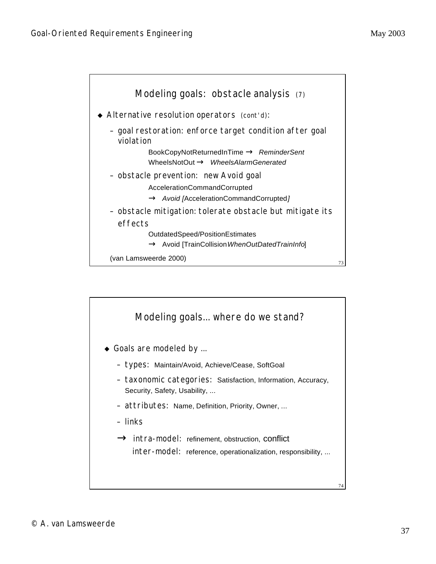

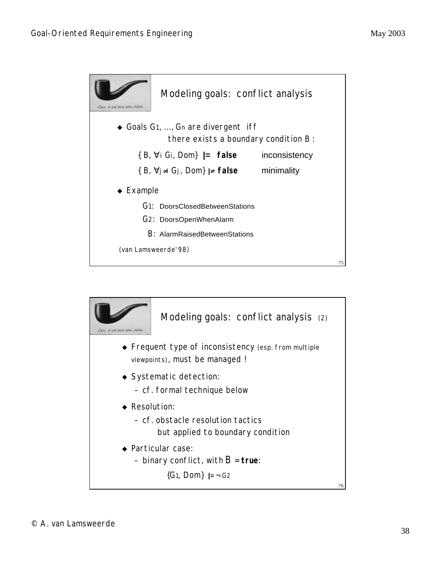

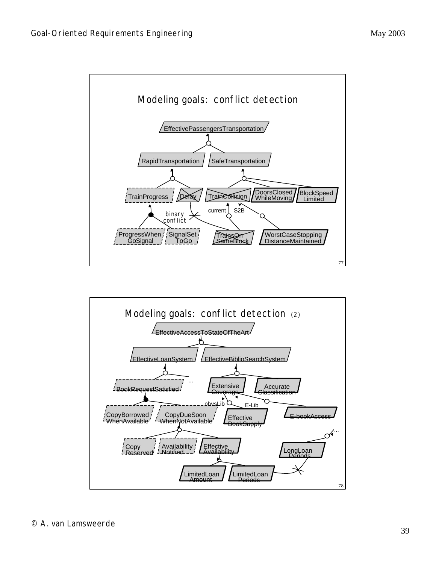

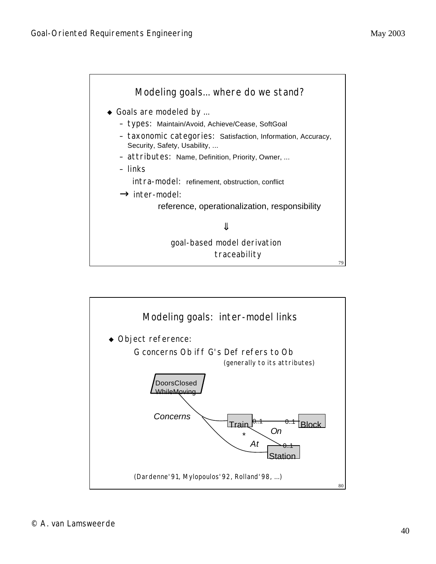

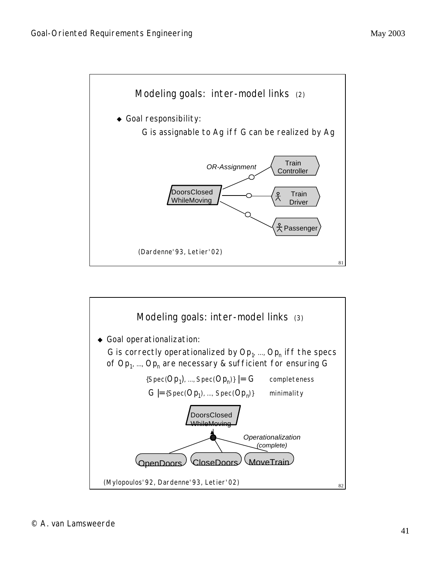

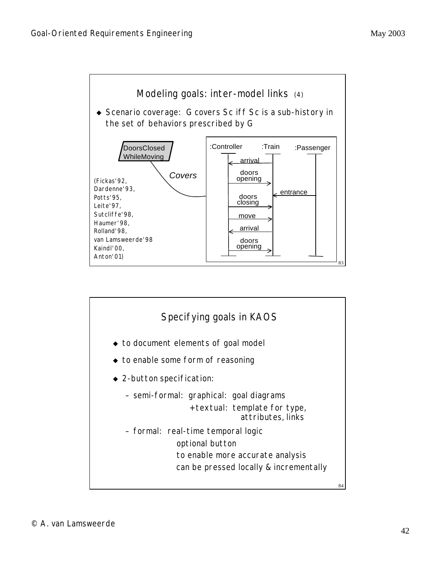

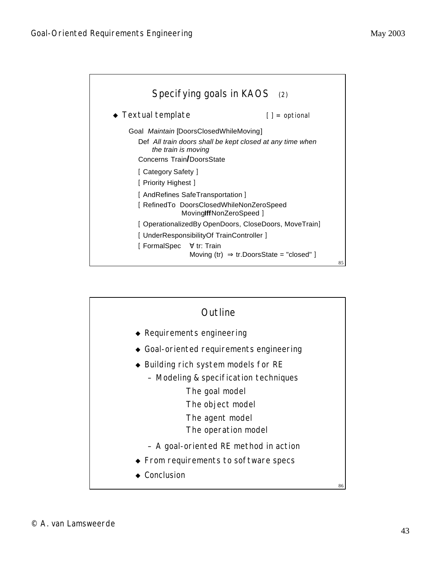

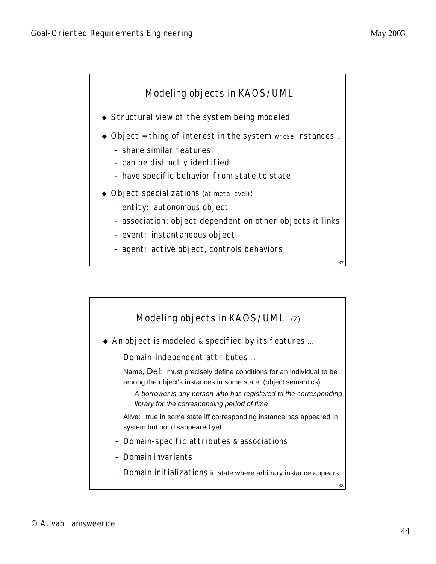

- $\triangleleft$  Structural view of the system being modeled
- $\bullet$  Object = thing of interest in the system whose instances ...
	- share similar features
	- can be distinctly identified
	- have specific behavior from state to state
- $\bullet$  Object specializations (at meta level):
	- entity: autonomous object
	- association: object dependent on other objects it links
	- event: instantaneous object
	- agent: active object, controls behaviors

87

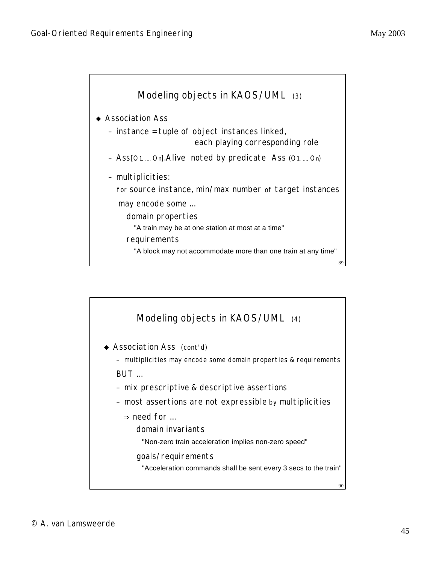

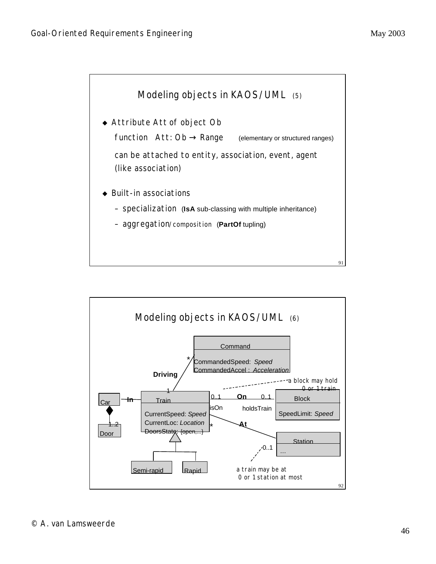

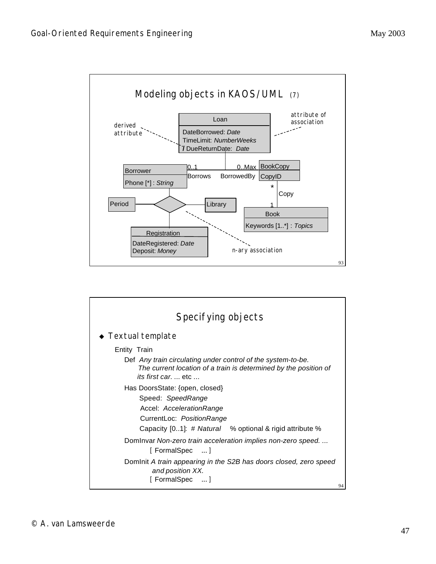

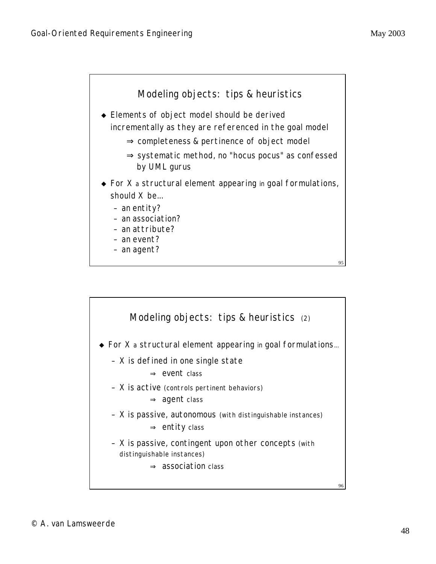

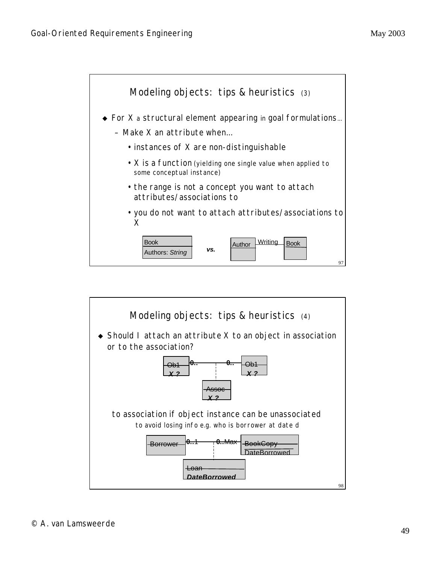

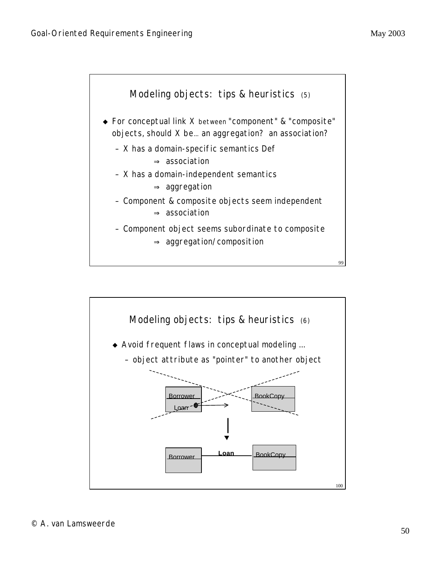

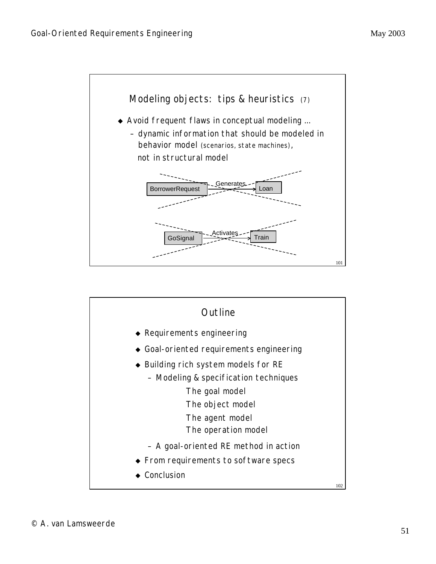

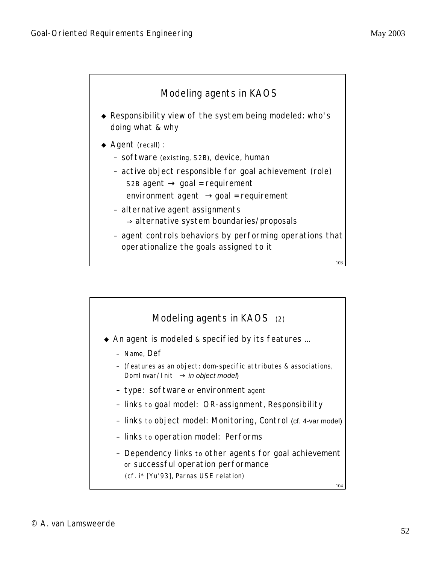

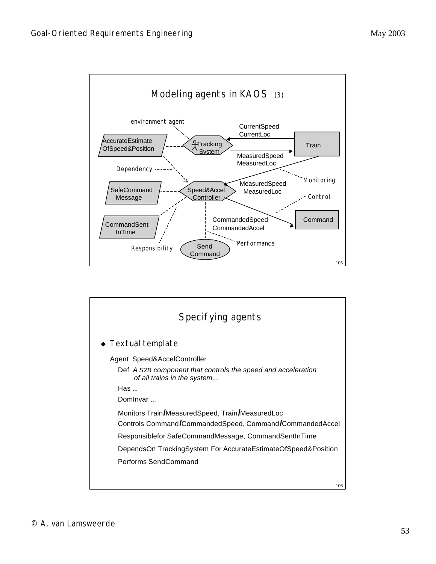

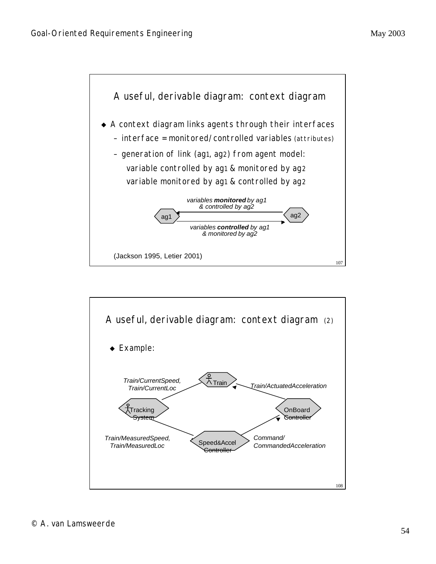

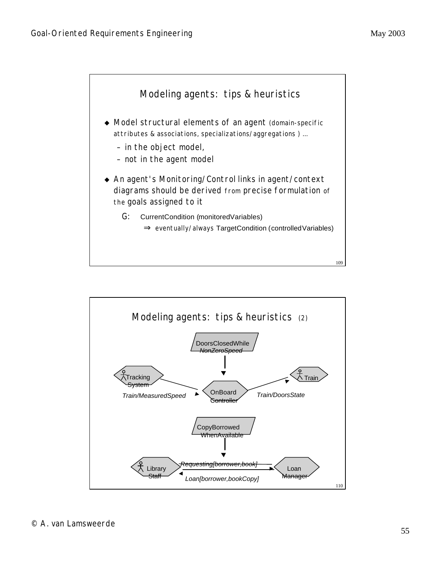

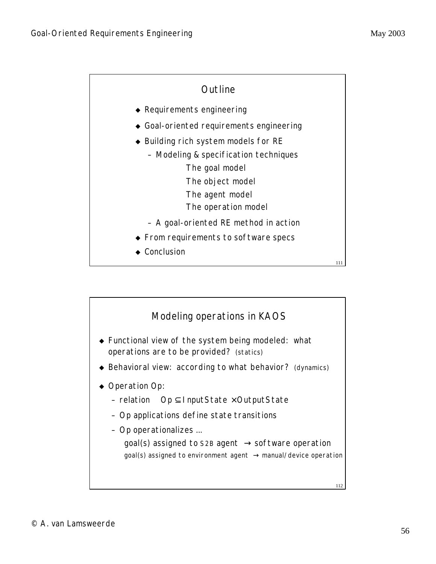

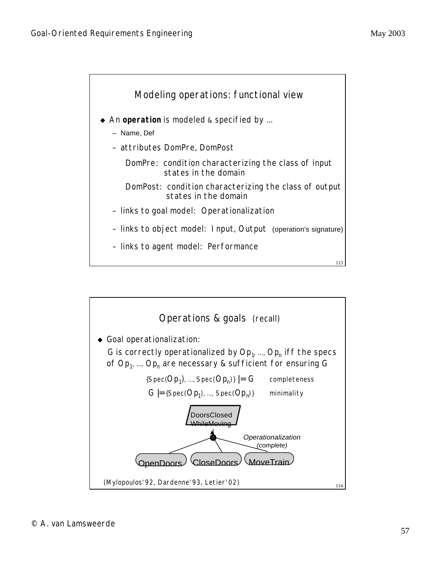

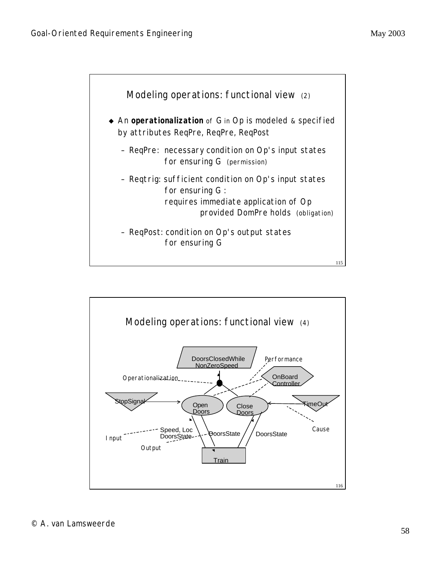

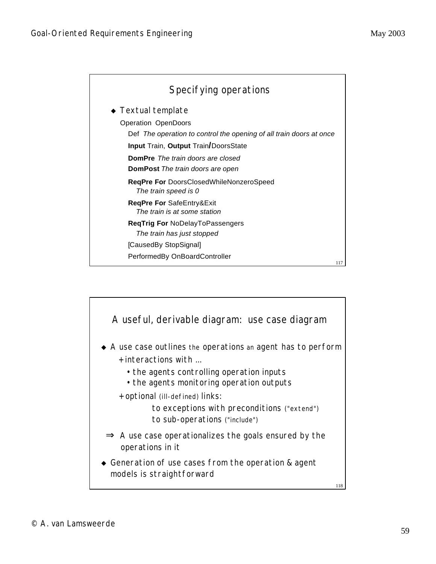

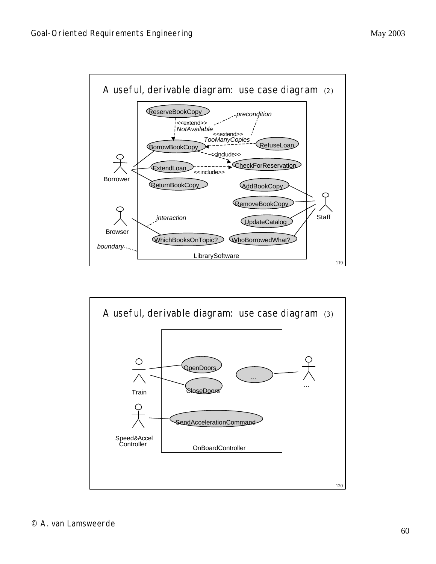

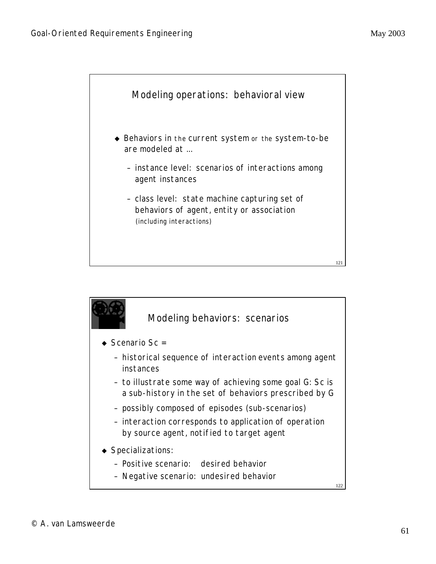

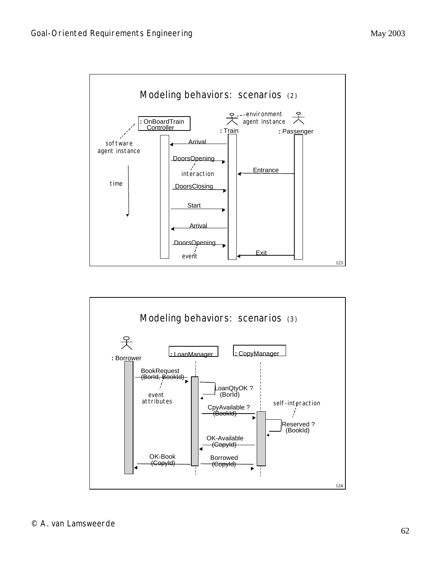

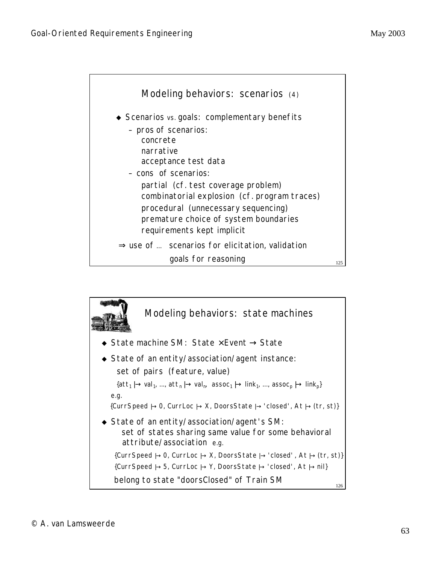

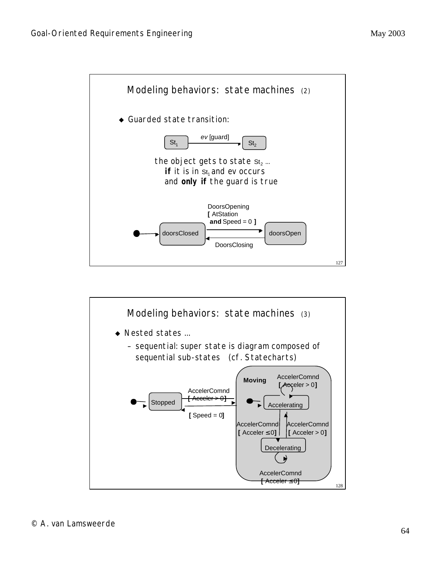

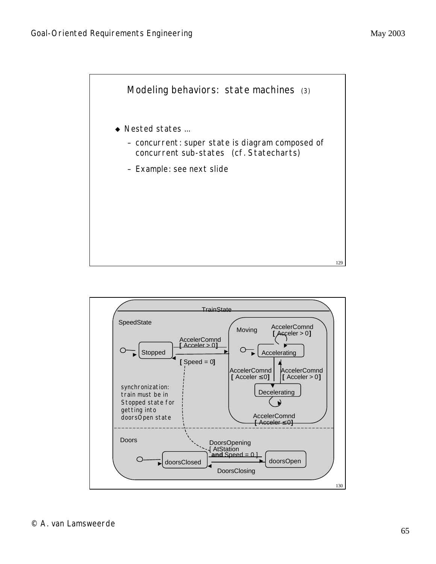

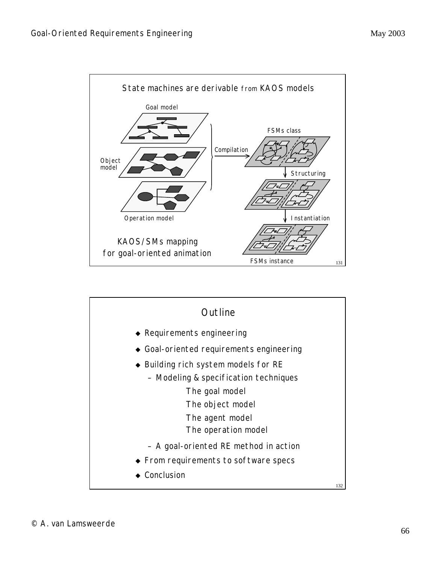

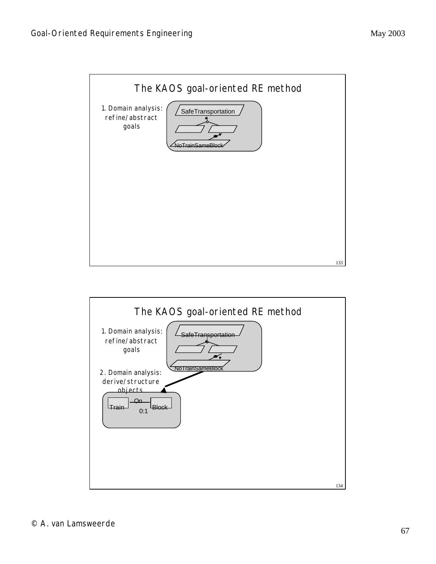

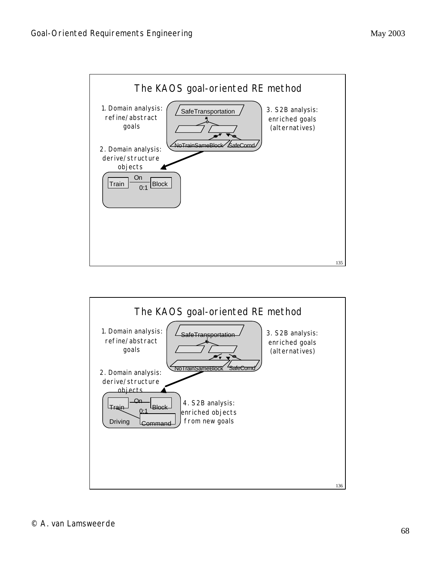

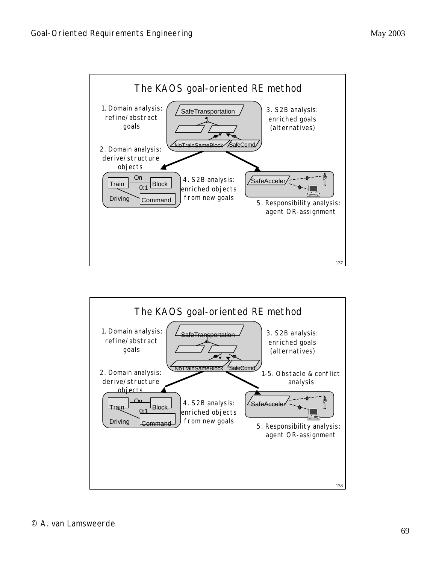

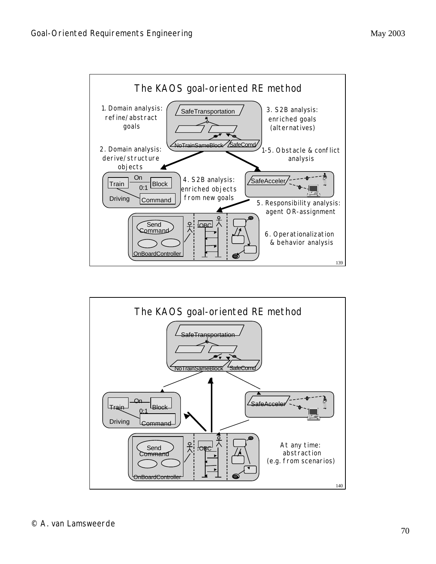

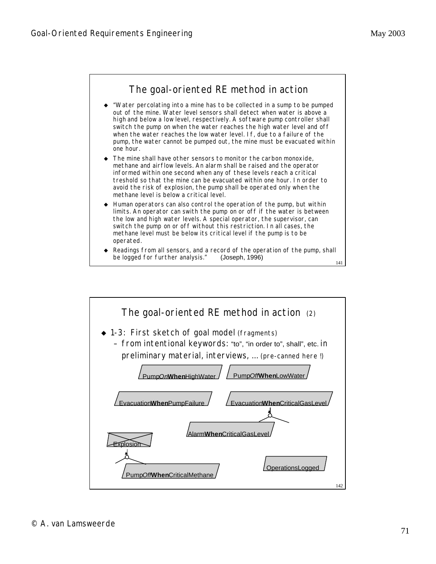

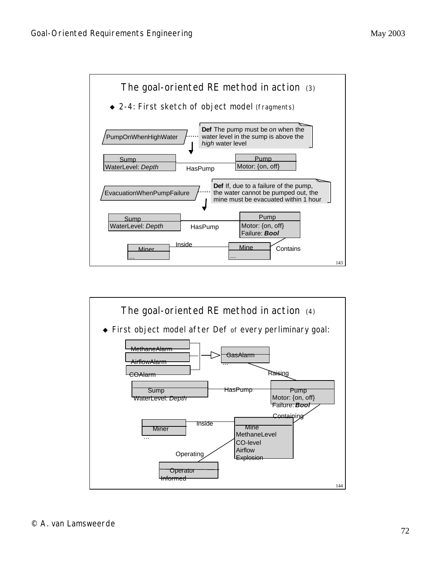

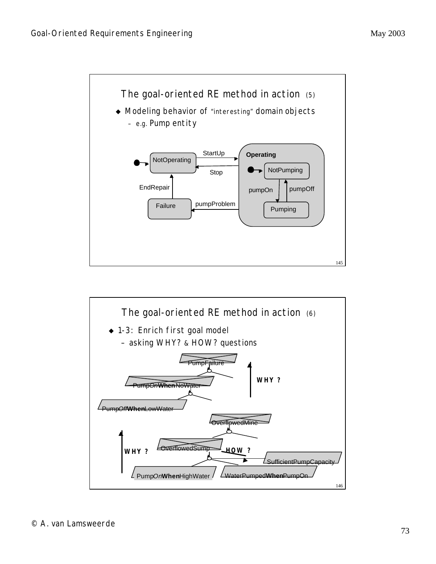

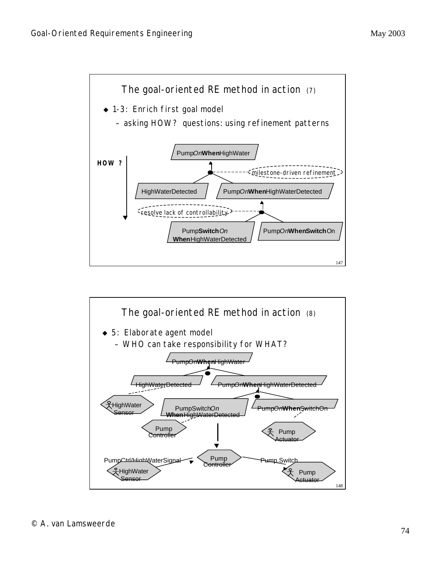

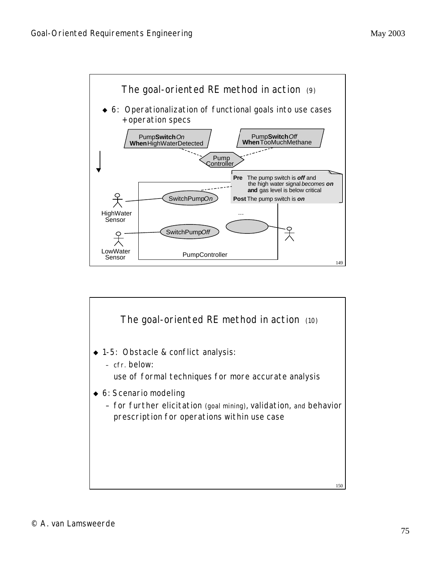

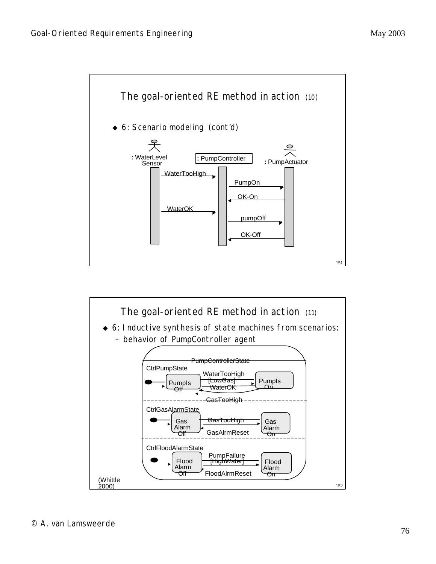

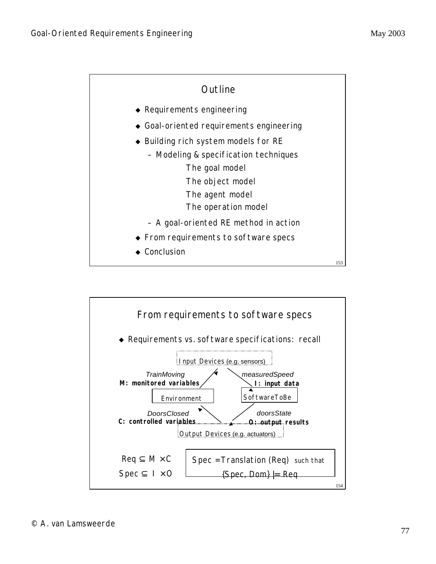

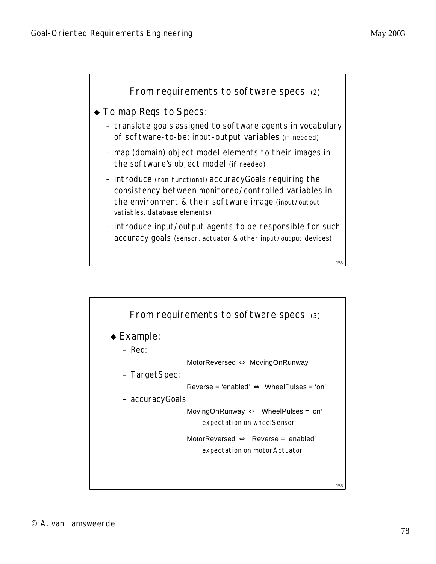

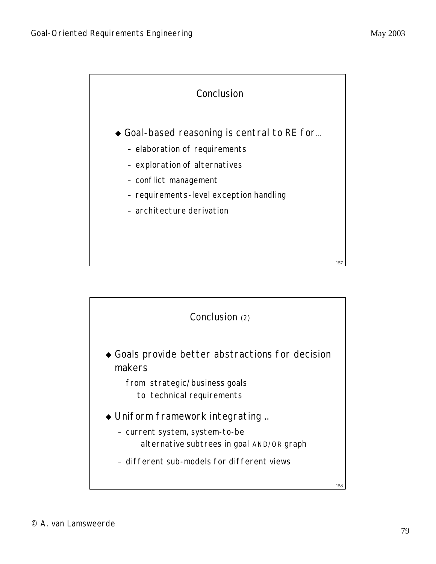

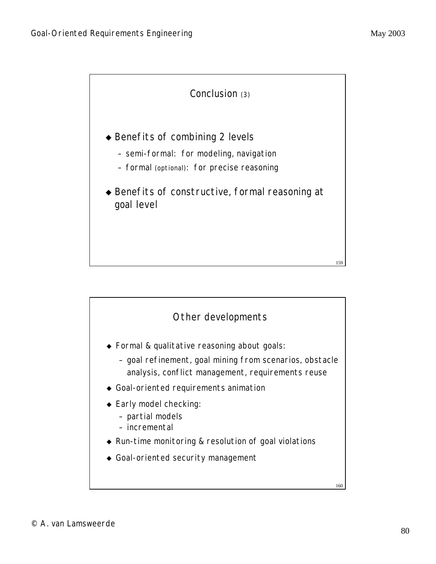